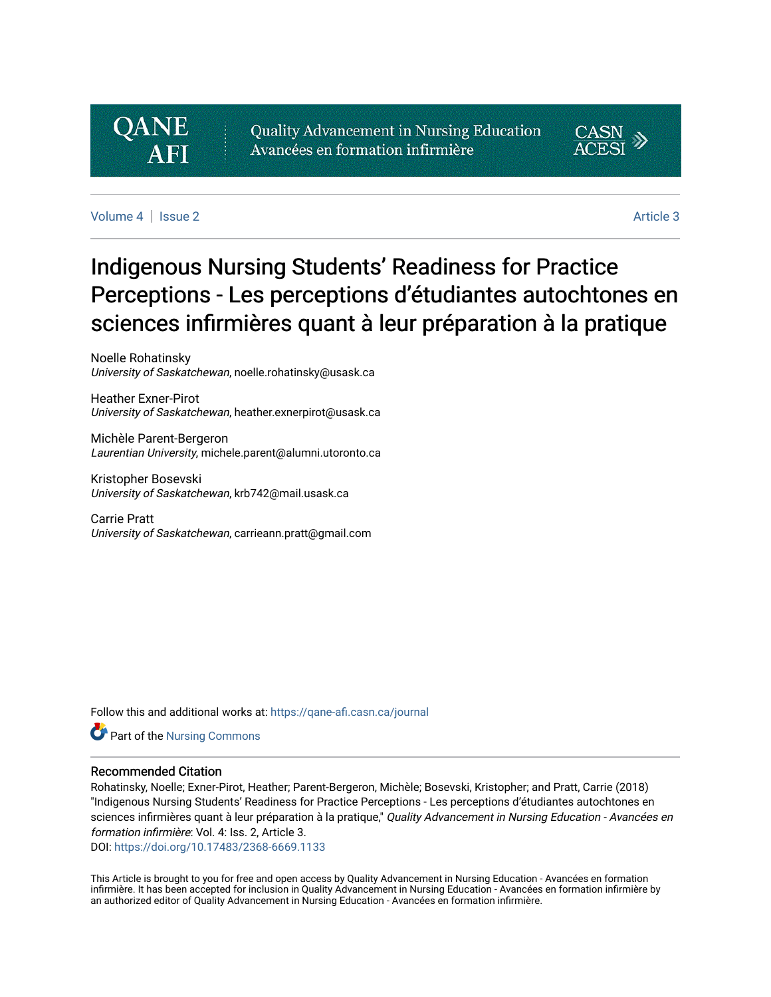# **QANE**

Quality Advancement in Nursing Education Avancées en formation infirmière



[Volume 4](https://qane-afi.casn.ca/journal/vol4) | [Issue 2](https://qane-afi.casn.ca/journal/vol4/iss2) Article 3

# Indigenous Nursing Students' Readiness for Practice Perceptions - Les perceptions d'étudiantes autochtones en sciences infirmières quant à leur préparation à la pratique

Noelle Rohatinsky University of Saskatchewan, noelle.rohatinsky@usask.ca

Heather Exner-Pirot University of Saskatchewan, heather.exnerpirot@usask.ca

Michèle Parent-Bergeron Laurentian University, michele.parent@alumni.utoronto.ca

Kristopher Bosevski University of Saskatchewan, krb742@mail.usask.ca

Carrie Pratt University of Saskatchewan, carrieann.pratt@gmail.com

Follow this and additional works at: [https://qane-afi.casn.ca/journal](https://qane-afi.casn.ca/journal?utm_source=qane-afi.casn.ca%2Fjournal%2Fvol4%2Fiss2%2F3&utm_medium=PDF&utm_campaign=PDFCoverPages) 

Part of the [Nursing Commons](http://network.bepress.com/hgg/discipline/718?utm_source=qane-afi.casn.ca%2Fjournal%2Fvol4%2Fiss2%2F3&utm_medium=PDF&utm_campaign=PDFCoverPages) 

#### Recommended Citation

Rohatinsky, Noelle; Exner-Pirot, Heather; Parent-Bergeron, Michèle; Bosevski, Kristopher; and Pratt, Carrie (2018) "Indigenous Nursing Students' Readiness for Practice Perceptions - Les perceptions d'étudiantes autochtones en sciences infirmières quant à leur préparation à la pratique," Quality Advancement in Nursing Education - Avancées en formation infirmière: Vol. 4: Iss. 2, Article 3.

DOI: <https://doi.org/10.17483/2368-6669.1133>

This Article is brought to you for free and open access by Quality Advancement in Nursing Education - Avancées en formation infirmière. It has been accepted for inclusion in Quality Advancement in Nursing Education - Avancées en formation infirmière by an authorized editor of Quality Advancement in Nursing Education - Avancées en formation infirmière.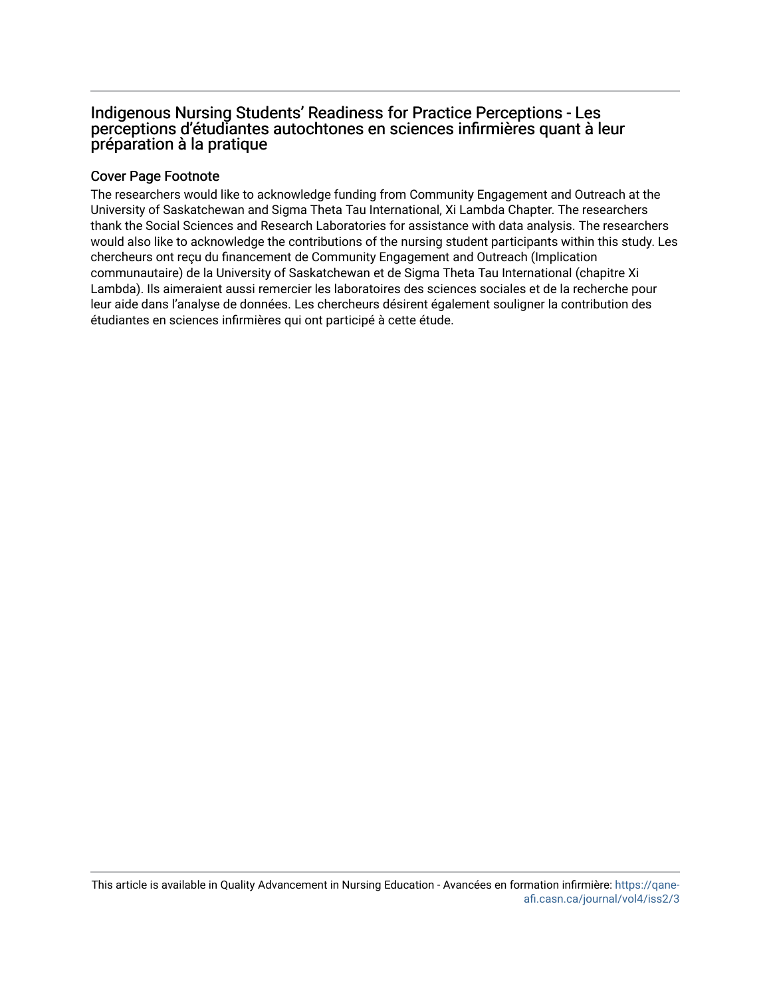# Indigenous Nursing Students' Readiness for Practice Perceptions - Les perceptions d'étudiantes autochtones en sciences infirmières quant à leur préparation à la pratique

# Cover Page Footnote

The researchers would like to acknowledge funding from Community Engagement and Outreach at the University of Saskatchewan and Sigma Theta Tau International, Xi Lambda Chapter. The researchers thank the Social Sciences and Research Laboratories for assistance with data analysis. The researchers would also like to acknowledge the contributions of the nursing student participants within this study. Les chercheurs ont reçu du financement de Community Engagement and Outreach (Implication communautaire) de la University of Saskatchewan et de Sigma Theta Tau International (chapitre Xi Lambda). Ils aimeraient aussi remercier les laboratoires des sciences sociales et de la recherche pour leur aide dans l'analyse de données. Les chercheurs désirent également souligner la contribution des étudiantes en sciences infirmières qui ont participé à cette étude.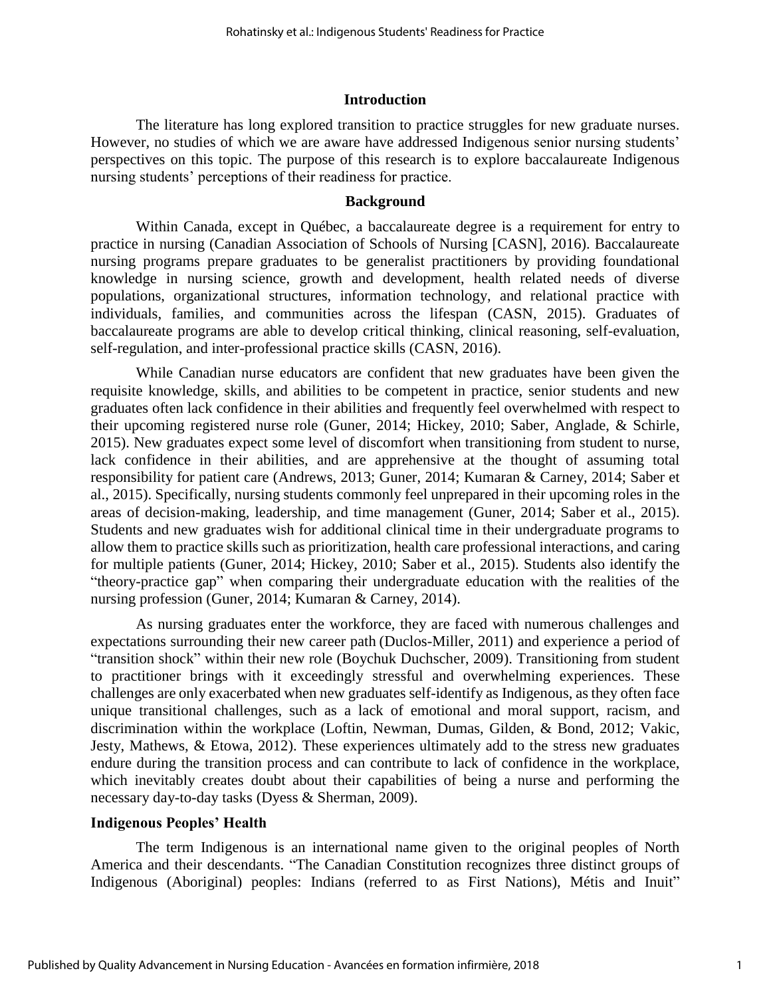#### **Introduction**

The literature has long explored transition to practice struggles for new graduate nurses. However, no studies of which we are aware have addressed Indigenous senior nursing students' perspectives on this topic. The purpose of this research is to explore baccalaureate Indigenous nursing students' perceptions of their readiness for practice.

#### **Background**

Within Canada, except in Québec, a baccalaureate degree is a requirement for entry to practice in nursing (Canadian Association of Schools of Nursing [CASN], 2016). Baccalaureate nursing programs prepare graduates to be generalist practitioners by providing foundational knowledge in nursing science, growth and development, health related needs of diverse populations, organizational structures, information technology, and relational practice with individuals, families, and communities across the lifespan (CASN, 2015). Graduates of baccalaureate programs are able to develop critical thinking, clinical reasoning, self-evaluation, self-regulation, and inter-professional practice skills (CASN, 2016).

While Canadian nurse educators are confident that new graduates have been given the requisite knowledge, skills, and abilities to be competent in practice, senior students and new graduates often lack confidence in their abilities and frequently feel overwhelmed with respect to their upcoming registered nurse role (Guner, 2014; Hickey, 2010; Saber, Anglade, & Schirle, 2015). New graduates expect some level of discomfort when transitioning from student to nurse, lack confidence in their abilities, and are apprehensive at the thought of assuming total responsibility for patient care (Andrews, 2013; Guner, 2014; Kumaran & Carney, 2014; Saber et al., 2015). Specifically, nursing students commonly feel unprepared in their upcoming roles in the areas of decision-making, leadership, and time management (Guner, 2014; Saber et al., 2015). Students and new graduates wish for additional clinical time in their undergraduate programs to allow them to practice skills such as prioritization, health care professional interactions, and caring for multiple patients (Guner, 2014; Hickey, 2010; Saber et al., 2015). Students also identify the "theory-practice gap" when comparing their undergraduate education with the realities of the nursing profession (Guner, 2014; Kumaran & Carney, 2014).

As nursing graduates enter the workforce, they are faced with numerous challenges and expectations surrounding their new career path (Duclos-Miller, 2011) and experience a period of "transition shock" within their new role (Boychuk Duchscher, 2009). Transitioning from student to practitioner brings with it exceedingly stressful and overwhelming experiences. These challenges are only exacerbated when new graduates self-identify as Indigenous, as they often face unique transitional challenges, such as a lack of emotional and moral support, racism, and discrimination within the workplace (Loftin, Newman, Dumas, Gilden, & Bond, 2012; Vakic, Jesty, Mathews, & Etowa, 2012). These experiences ultimately add to the stress new graduates endure during the transition process and can contribute to lack of confidence in the workplace, which inevitably creates doubt about their capabilities of being a nurse and performing the necessary day-to-day tasks (Dyess & Sherman, 2009).

#### **Indigenous Peoples' Health**

The term Indigenous is an international name given to the original peoples of North America and their descendants. "The Canadian Constitution recognizes three distinct groups of Indigenous (Aboriginal) peoples: Indians (referred to as First Nations), Métis and Inuit"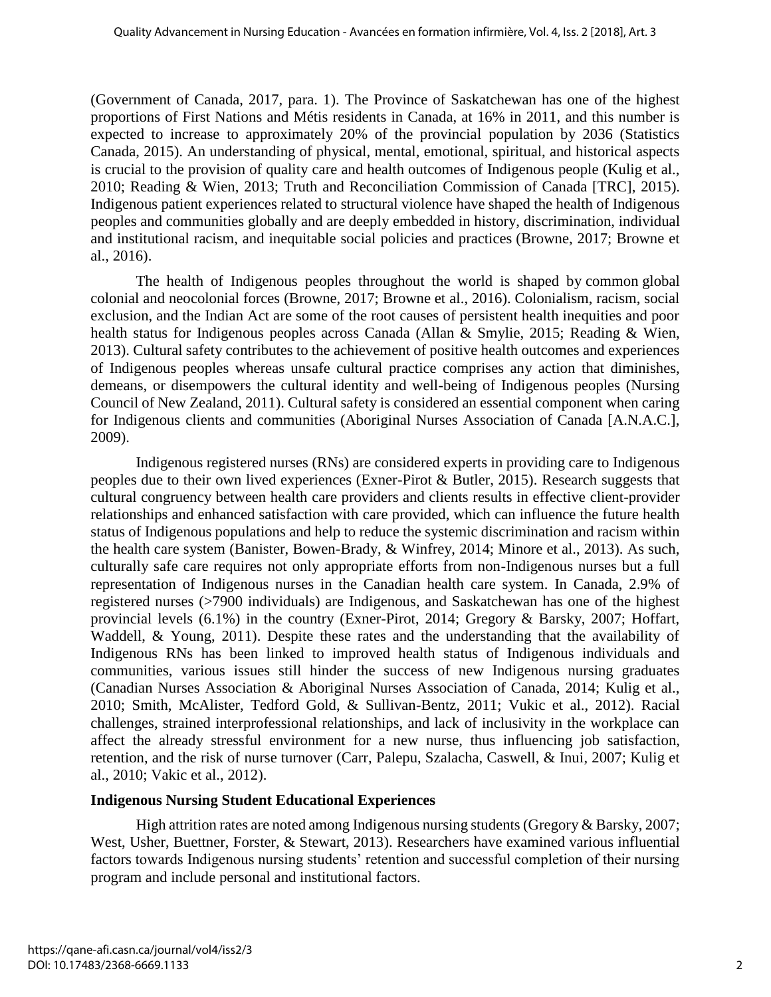(Government of Canada, 2017, para. 1). The Province of Saskatchewan has one of the highest proportions of First Nations and Métis residents in Canada, at 16% in 2011, and this number is expected to increase to approximately 20% of the provincial population by 2036 (Statistics Canada, 2015). An understanding of physical, mental, emotional, spiritual, and historical aspects is crucial to the provision of quality care and health outcomes of Indigenous people (Kulig et al., 2010; Reading & Wien, 2013; Truth and Reconciliation Commission of Canada [TRC], 2015). Indigenous patient experiences related to structural violence have shaped the health of Indigenous peoples and communities globally and are deeply embedded in history, discrimination, individual and institutional racism, and inequitable social policies and practices (Browne, 2017; Browne et al., 2016).

The health of Indigenous peoples throughout the world is shaped by common global colonial and neocolonial forces (Browne, 2017; Browne et al., 2016). Colonialism, racism, social exclusion, and the Indian Act are some of the root causes of persistent health inequities and poor health status for Indigenous peoples across Canada (Allan & Smylie, 2015; Reading & Wien, 2013). Cultural safety contributes to the achievement of positive health outcomes and experiences of Indigenous peoples whereas unsafe cultural practice comprises any action that diminishes, demeans, or disempowers the cultural identity and well-being of Indigenous peoples (Nursing Council of New Zealand, 2011). Cultural safety is considered an essential component when caring for Indigenous clients and communities (Aboriginal Nurses Association of Canada [A.N.A.C.], 2009).

Indigenous registered nurses (RNs) are considered experts in providing care to Indigenous peoples due to their own lived experiences (Exner-Pirot & Butler, 2015). Research suggests that cultural congruency between health care providers and clients results in effective client-provider relationships and enhanced satisfaction with care provided, which can influence the future health status of Indigenous populations and help to reduce the systemic discrimination and racism within the health care system (Banister, Bowen-Brady, & Winfrey, 2014; Minore et al., 2013). As such, culturally safe care requires not only appropriate efforts from non-Indigenous nurses but a full representation of Indigenous nurses in the Canadian health care system. In Canada, 2.9% of registered nurses (>7900 individuals) are Indigenous, and Saskatchewan has one of the highest provincial levels (6.1%) in the country (Exner-Pirot, 2014; Gregory & Barsky, 2007; Hoffart, Waddell, & Young, 2011). Despite these rates and the understanding that the availability of Indigenous RNs has been linked to improved health status of Indigenous individuals and communities, various issues still hinder the success of new Indigenous nursing graduates (Canadian Nurses Association & Aboriginal Nurses Association of Canada, 2014; Kulig et al., 2010; Smith, McAlister, Tedford Gold, & Sullivan-Bentz, 2011; Vukic et al., 2012). Racial challenges, strained interprofessional relationships, and lack of inclusivity in the workplace can affect the already stressful environment for a new nurse, thus influencing job satisfaction, retention, and the risk of nurse turnover (Carr, Palepu, Szalacha, Caswell, & Inui, 2007; Kulig et al., 2010; Vakic et al., 2012).

# **Indigenous Nursing Student Educational Experiences**

High attrition rates are noted among Indigenous nursing students (Gregory & Barsky, 2007; West, Usher, Buettner, Forster, & Stewart, 2013). Researchers have examined various influential factors towards Indigenous nursing students' retention and successful completion of their nursing program and include personal and institutional factors.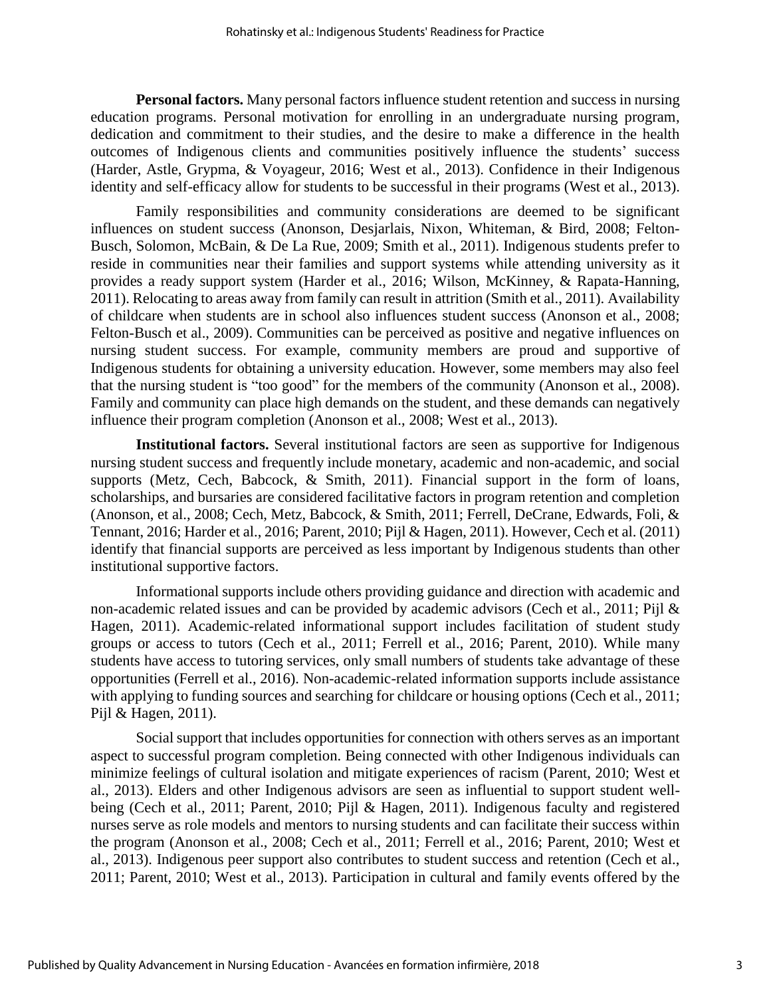**Personal factors.** Many personal factors influence student retention and success in nursing education programs. Personal motivation for enrolling in an undergraduate nursing program, dedication and commitment to their studies, and the desire to make a difference in the health outcomes of Indigenous clients and communities positively influence the students' success (Harder, Astle, Grypma, & Voyageur, 2016; West et al., 2013). Confidence in their Indigenous identity and self-efficacy allow for students to be successful in their programs (West et al., 2013).

Family responsibilities and community considerations are deemed to be significant influences on student success (Anonson, Desjarlais, Nixon, Whiteman, & Bird, 2008; Felton-Busch, Solomon, McBain, & De La Rue, 2009; Smith et al., 2011). Indigenous students prefer to reside in communities near their families and support systems while attending university as it provides a ready support system (Harder et al., 2016; Wilson, McKinney, & Rapata-Hanning, 2011). Relocating to areas away from family can result in attrition (Smith et al., 2011). Availability of childcare when students are in school also influences student success (Anonson et al., 2008; Felton-Busch et al., 2009). Communities can be perceived as positive and negative influences on nursing student success. For example, community members are proud and supportive of Indigenous students for obtaining a university education. However, some members may also feel that the nursing student is "too good" for the members of the community (Anonson et al., 2008). Family and community can place high demands on the student, and these demands can negatively influence their program completion (Anonson et al., 2008; West et al., 2013).

**Institutional factors.** Several institutional factors are seen as supportive for Indigenous nursing student success and frequently include monetary, academic and non-academic, and social supports (Metz, Cech, Babcock, & Smith, 2011). Financial support in the form of loans, scholarships, and bursaries are considered facilitative factors in program retention and completion (Anonson, et al., 2008; Cech, Metz, Babcock, & Smith, 2011; Ferrell, DeCrane, Edwards, Foli, & Tennant, 2016; Harder et al., 2016; Parent, 2010; Pijl & Hagen, 2011). However, Cech et al. (2011) identify that financial supports are perceived as less important by Indigenous students than other institutional supportive factors.

Informational supports include others providing guidance and direction with academic and non-academic related issues and can be provided by academic advisors (Cech et al., 2011; Pijl & Hagen, 2011). Academic-related informational support includes facilitation of student study groups or access to tutors (Cech et al., 2011; Ferrell et al., 2016; Parent, 2010). While many students have access to tutoring services, only small numbers of students take advantage of these opportunities (Ferrell et al., 2016). Non-academic-related information supports include assistance with applying to funding sources and searching for childcare or housing options (Cech et al., 2011; Pijl & Hagen, 2011).

Social support that includes opportunities for connection with others serves as an important aspect to successful program completion. Being connected with other Indigenous individuals can minimize feelings of cultural isolation and mitigate experiences of racism (Parent, 2010; West et al., 2013). Elders and other Indigenous advisors are seen as influential to support student wellbeing (Cech et al., 2011; Parent, 2010; Pijl & Hagen, 2011). Indigenous faculty and registered nurses serve as role models and mentors to nursing students and can facilitate their success within the program (Anonson et al., 2008; Cech et al., 2011; Ferrell et al., 2016; Parent, 2010; West et al., 2013). Indigenous peer support also contributes to student success and retention (Cech et al., 2011; Parent, 2010; West et al., 2013). Participation in cultural and family events offered by the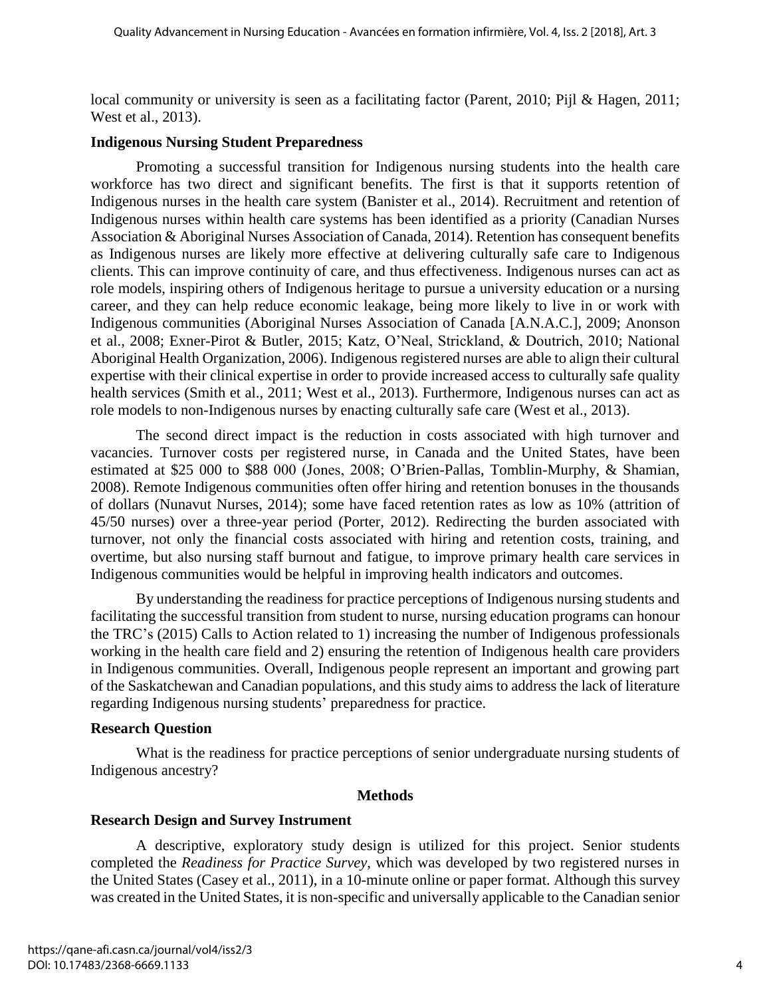local community or university is seen as a facilitating factor (Parent, 2010; Pijl & Hagen, 2011; West et al., 2013).

#### **Indigenous Nursing Student Preparedness**

Promoting a successful transition for Indigenous nursing students into the health care workforce has two direct and significant benefits. The first is that it supports retention of Indigenous nurses in the health care system (Banister et al., 2014). Recruitment and retention of Indigenous nurses within health care systems has been identified as a priority (Canadian Nurses Association & Aboriginal Nurses Association of Canada, 2014). Retention has consequent benefits as Indigenous nurses are likely more effective at delivering culturally safe care to Indigenous clients. This can improve continuity of care, and thus effectiveness. Indigenous nurses can act as role models, inspiring others of Indigenous heritage to pursue a university education or a nursing career, and they can help reduce economic leakage, being more likely to live in or work with Indigenous communities (Aboriginal Nurses Association of Canada [A.N.A.C.], 2009; Anonson et al., 2008; Exner-Pirot & Butler, 2015; Katz, O'Neal, Strickland, & Doutrich, 2010; National Aboriginal Health Organization, 2006). Indigenous registered nurses are able to align their cultural expertise with their clinical expertise in order to provide increased access to culturally safe quality health services (Smith et al., 2011; West et al., 2013). Furthermore, Indigenous nurses can act as role models to non-Indigenous nurses by enacting culturally safe care (West et al., 2013).

The second direct impact is the reduction in costs associated with high turnover and vacancies. Turnover costs per registered nurse, in Canada and the United States, have been estimated at \$25 000 to \$88 000 (Jones, 2008; O'Brien-Pallas, Tomblin-Murphy, & Shamian, 2008). Remote Indigenous communities often offer hiring and retention bonuses in the thousands of dollars (Nunavut Nurses, 2014); some have faced retention rates as low as 10% (attrition of 45/50 nurses) over a three-year period (Porter, 2012). Redirecting the burden associated with turnover, not only the financial costs associated with hiring and retention costs, training, and overtime, but also nursing staff burnout and fatigue, to improve primary health care services in Indigenous communities would be helpful in improving health indicators and outcomes.

By understanding the readiness for practice perceptions of Indigenous nursing students and facilitating the successful transition from student to nurse, nursing education programs can honour the TRC's (2015) Calls to Action related to 1) increasing the number of Indigenous professionals working in the health care field and 2) ensuring the retention of Indigenous health care providers in Indigenous communities. Overall, Indigenous people represent an important and growing part of the Saskatchewan and Canadian populations, and this study aims to address the lack of literature regarding Indigenous nursing students' preparedness for practice.

# **Research Question**

What is the readiness for practice perceptions of senior undergraduate nursing students of Indigenous ancestry?

# **Methods**

# **Research Design and Survey Instrument**

A descriptive, exploratory study design is utilized for this project. Senior students completed the *Readiness for Practice Survey*, which was developed by two registered nurses in the United States (Casey et al., 2011), in a 10-minute online or paper format. Although this survey was created in the United States, it is non-specific and universally applicable to the Canadian senior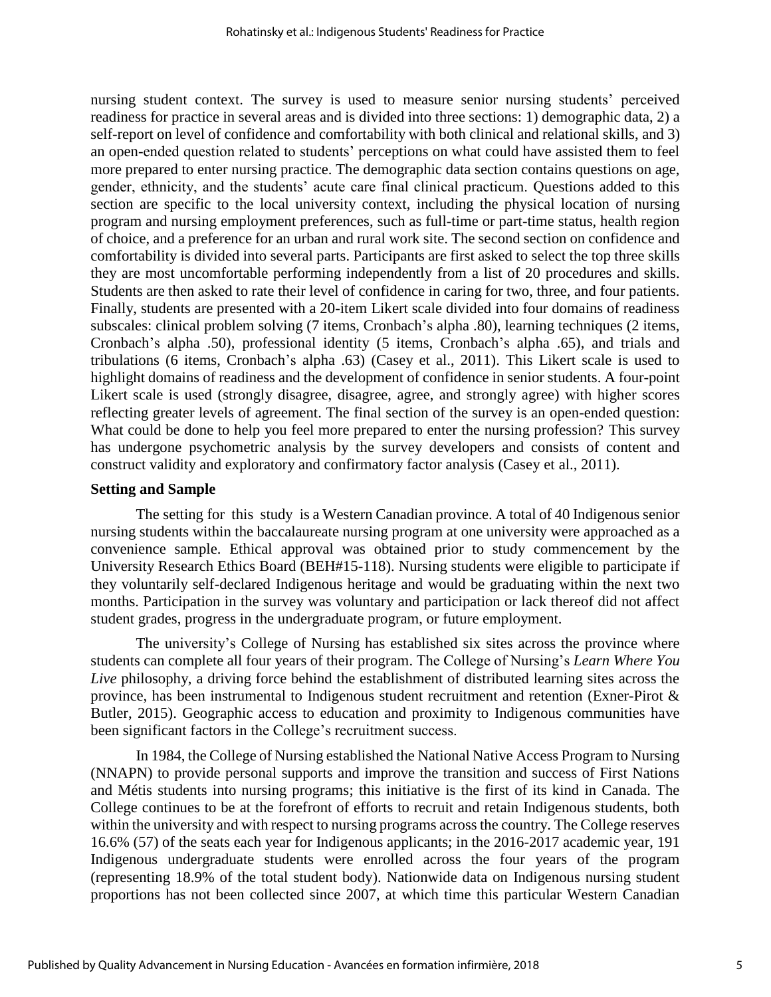nursing student context. The survey is used to measure senior nursing students' perceived readiness for practice in several areas and is divided into three sections: 1) demographic data, 2) a self-report on level of confidence and comfortability with both clinical and relational skills, and 3) an open-ended question related to students' perceptions on what could have assisted them to feel more prepared to enter nursing practice. The demographic data section contains questions on age, gender, ethnicity, and the students' acute care final clinical practicum. Questions added to this section are specific to the local university context, including the physical location of nursing program and nursing employment preferences, such as full-time or part-time status, health region of choice, and a preference for an urban and rural work site. The second section on confidence and comfortability is divided into several parts. Participants are first asked to select the top three skills they are most uncomfortable performing independently from a list of 20 procedures and skills. Students are then asked to rate their level of confidence in caring for two, three, and four patients. Finally, students are presented with a 20-item Likert scale divided into four domains of readiness subscales: clinical problem solving (7 items, Cronbach's alpha .80), learning techniques (2 items, Cronbach's alpha .50), professional identity (5 items, Cronbach's alpha .65), and trials and tribulations (6 items, Cronbach's alpha .63) (Casey et al., 2011). This Likert scale is used to highlight domains of readiness and the development of confidence in senior students. A four-point Likert scale is used (strongly disagree, disagree, agree, and strongly agree) with higher scores reflecting greater levels of agreement. The final section of the survey is an open-ended question: What could be done to help you feel more prepared to enter the nursing profession? This survey has undergone psychometric analysis by the survey developers and consists of content and construct validity and exploratory and confirmatory factor analysis (Casey et al., 2011).

#### **Setting and Sample**

The setting for this study is a Western Canadian province. A total of 40 Indigenous senior nursing students within the baccalaureate nursing program at one university were approached as a convenience sample. Ethical approval was obtained prior to study commencement by the University Research Ethics Board (BEH#15-118). Nursing students were eligible to participate if they voluntarily self-declared Indigenous heritage and would be graduating within the next two months. Participation in the survey was voluntary and participation or lack thereof did not affect student grades, progress in the undergraduate program, or future employment.

The university's College of Nursing has established six sites across the province where students can complete all four years of their program. The College of Nursing's *Learn Where You Live* philosophy, a driving force behind the establishment of distributed learning sites across the province, has been instrumental to Indigenous student recruitment and retention (Exner-Pirot & Butler, 2015). Geographic access to education and proximity to Indigenous communities have been significant factors in the College's recruitment success.

In 1984, the College of Nursing established the National Native Access Program to Nursing (NNAPN) to provide personal supports and improve the transition and success of First Nations and Métis students into nursing programs; this initiative is the first of its kind in Canada. The College continues to be at the forefront of efforts to recruit and retain Indigenous students, both within the university and with respect to nursing programs across the country. The College reserves 16.6% (57) of the seats each year for Indigenous applicants; in the 2016-2017 academic year, 191 Indigenous undergraduate students were enrolled across the four years of the program (representing 18.9% of the total student body). Nationwide data on Indigenous nursing student proportions has not been collected since 2007, at which time this particular Western Canadian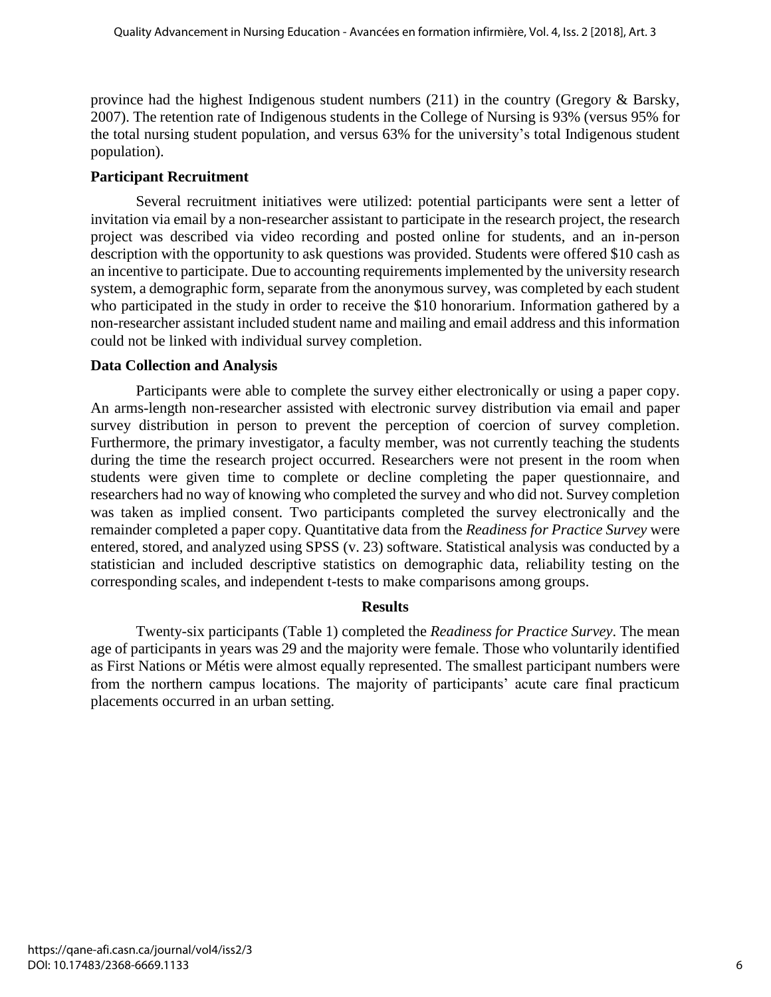province had the highest Indigenous student numbers (211) in the country (Gregory & Barsky, 2007). The retention rate of Indigenous students in the College of Nursing is 93% (versus 95% for the total nursing student population, and versus 63% for the university's total Indigenous student population).

# **Participant Recruitment**

Several recruitment initiatives were utilized: potential participants were sent a letter of invitation via email by a non-researcher assistant to participate in the research project, the research project was described via video recording and posted online for students, and an in-person description with the opportunity to ask questions was provided. Students were offered \$10 cash as an incentive to participate. Due to accounting requirements implemented by the university research system, a demographic form, separate from the anonymous survey, was completed by each student who participated in the study in order to receive the \$10 honorarium. Information gathered by a non-researcher assistant included student name and mailing and email address and this information could not be linked with individual survey completion.

# **Data Collection and Analysis**

Participants were able to complete the survey either electronically or using a paper copy. An arms-length non-researcher assisted with electronic survey distribution via email and paper survey distribution in person to prevent the perception of coercion of survey completion. Furthermore, the primary investigator, a faculty member, was not currently teaching the students during the time the research project occurred. Researchers were not present in the room when students were given time to complete or decline completing the paper questionnaire, and researchers had no way of knowing who completed the survey and who did not. Survey completion was taken as implied consent. Two participants completed the survey electronically and the remainder completed a paper copy. Quantitative data from the *Readiness for Practice Survey* were entered, stored, and analyzed using SPSS (v. 23) software. Statistical analysis was conducted by a statistician and included descriptive statistics on demographic data, reliability testing on the corresponding scales, and independent t-tests to make comparisons among groups.

# **Results**

Twenty-six participants (Table 1) completed the *Readiness for Practice Survey*. The mean age of participants in years was 29 and the majority were female. Those who voluntarily identified as First Nations or Métis were almost equally represented. The smallest participant numbers were from the northern campus locations. The majority of participants' acute care final practicum placements occurred in an urban setting.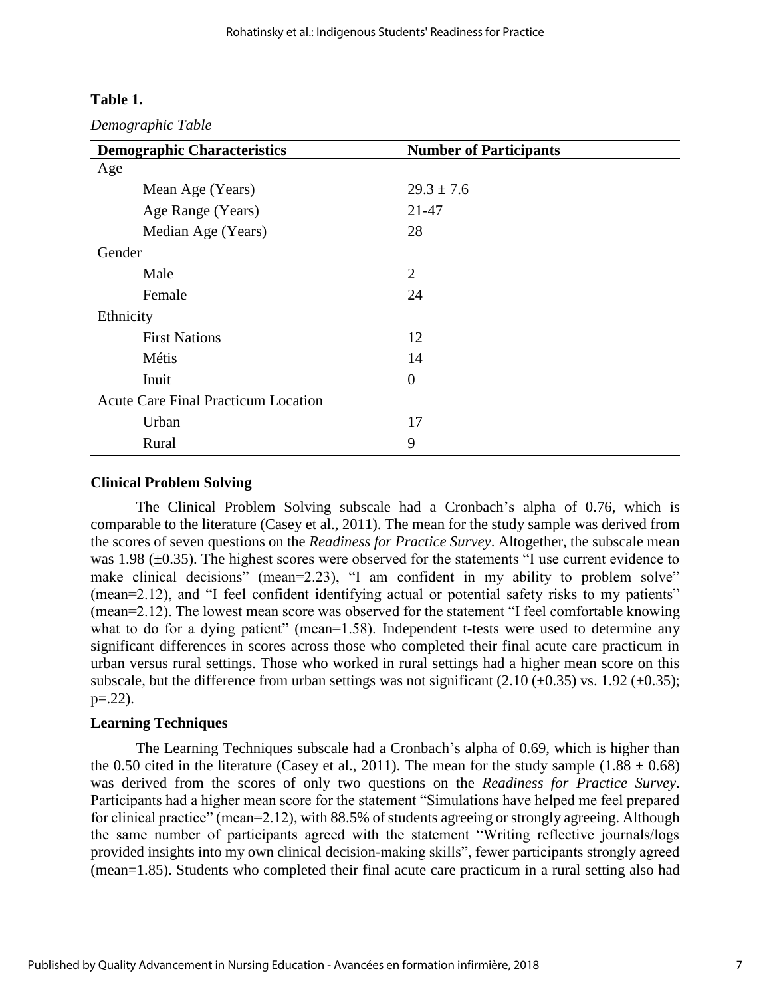#### **Table 1.**

*Demographic Table*

| <b>Demographic Characteristics</b>         | <b>Number of Participants</b> |
|--------------------------------------------|-------------------------------|
| Age                                        |                               |
| Mean Age (Years)                           | $29.3 \pm 7.6$                |
| Age Range (Years)                          | $21 - 47$                     |
| Median Age (Years)                         | 28                            |
| Gender                                     |                               |
| Male                                       | $\overline{2}$                |
| Female                                     | 24                            |
| Ethnicity                                  |                               |
| <b>First Nations</b>                       | 12                            |
| Métis                                      | 14                            |
| Inuit                                      | $\overline{0}$                |
| <b>Acute Care Final Practicum Location</b> |                               |
| Urban                                      | 17                            |
| Rural                                      | 9                             |

#### **Clinical Problem Solving**

The Clinical Problem Solving subscale had a Cronbach's alpha of 0.76, which is comparable to the literature (Casey et al., 2011). The mean for the study sample was derived from the scores of seven questions on the *Readiness for Practice Survey*. Altogether, the subscale mean was 1.98 ( $\pm$ 0.35). The highest scores were observed for the statements "I use current evidence to make clinical decisions" (mean=2.23), "I am confident in my ability to problem solve" (mean=2.12), and "I feel confident identifying actual or potential safety risks to my patients" (mean=2.12). The lowest mean score was observed for the statement "I feel comfortable knowing what to do for a dying patient" (mean=1.58). Independent t-tests were used to determine any significant differences in scores across those who completed their final acute care practicum in urban versus rural settings. Those who worked in rural settings had a higher mean score on this subscale, but the difference from urban settings was not significant (2.10 ( $\pm$ 0.35) vs. 1.92 ( $\pm$ 0.35);  $p=.22$ ).

#### **Learning Techniques**

The Learning Techniques subscale had a Cronbach's alpha of 0.69, which is higher than the 0.50 cited in the literature (Casey et al., 2011). The mean for the study sample  $(1.88 \pm 0.68)$ was derived from the scores of only two questions on the *Readiness for Practice Survey*. Participants had a higher mean score for the statement "Simulations have helped me feel prepared for clinical practice" (mean=2.12), with 88.5% of students agreeing or strongly agreeing. Although the same number of participants agreed with the statement "Writing reflective journals/logs provided insights into my own clinical decision-making skills", fewer participants strongly agreed (mean=1.85). Students who completed their final acute care practicum in a rural setting also had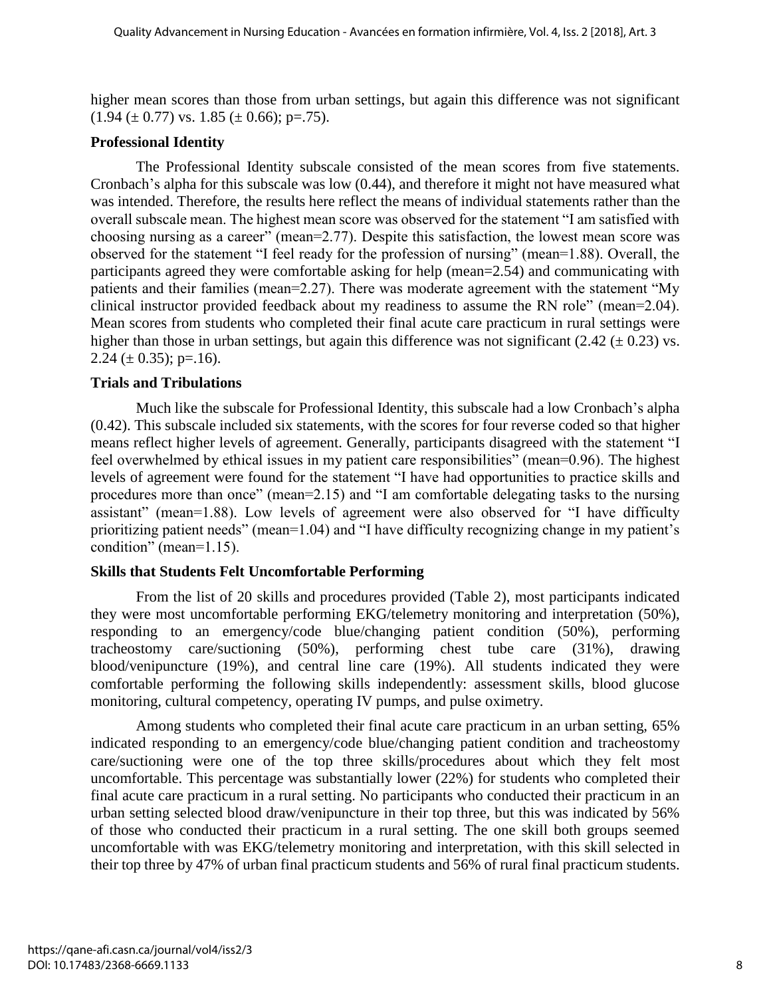higher mean scores than those from urban settings, but again this difference was not significant  $(1.94 \pm 0.77)$  vs.  $1.85 \pm 0.66$ ; p=.75).

### **Professional Identity**

The Professional Identity subscale consisted of the mean scores from five statements. Cronbach's alpha for this subscale was low (0.44), and therefore it might not have measured what was intended. Therefore, the results here reflect the means of individual statements rather than the overall subscale mean. The highest mean score was observed for the statement "I am satisfied with choosing nursing as a career" (mean=2.77). Despite this satisfaction, the lowest mean score was observed for the statement "I feel ready for the profession of nursing" (mean=1.88). Overall, the participants agreed they were comfortable asking for help (mean=2.54) and communicating with patients and their families (mean=2.27). There was moderate agreement with the statement "My clinical instructor provided feedback about my readiness to assume the RN role" (mean=2.04). Mean scores from students who completed their final acute care practicum in rural settings were higher than those in urban settings, but again this difference was not significant  $(2.42 \pm 0.23)$  vs. 2.24 ( $\pm$  0.35); p=.16).

#### **Trials and Tribulations**

Much like the subscale for Professional Identity, this subscale had a low Cronbach's alpha (0.42). This subscale included six statements, with the scores for four reverse coded so that higher means reflect higher levels of agreement. Generally, participants disagreed with the statement "I feel overwhelmed by ethical issues in my patient care responsibilities" (mean=0.96). The highest levels of agreement were found for the statement "I have had opportunities to practice skills and procedures more than once" (mean=2.15) and "I am comfortable delegating tasks to the nursing assistant" (mean=1.88). Low levels of agreement were also observed for "I have difficulty prioritizing patient needs" (mean=1.04) and "I have difficulty recognizing change in my patient's condition" (mean=1.15).

# **Skills that Students Felt Uncomfortable Performing**

From the list of 20 skills and procedures provided (Table 2), most participants indicated they were most uncomfortable performing EKG/telemetry monitoring and interpretation (50%), responding to an emergency/code blue/changing patient condition (50%), performing tracheostomy care/suctioning (50%), performing chest tube care (31%), drawing blood/venipuncture (19%), and central line care (19%). All students indicated they were comfortable performing the following skills independently: assessment skills, blood glucose monitoring, cultural competency, operating IV pumps, and pulse oximetry.

Among students who completed their final acute care practicum in an urban setting, 65% indicated responding to an emergency/code blue/changing patient condition and tracheostomy care/suctioning were one of the top three skills/procedures about which they felt most uncomfortable. This percentage was substantially lower (22%) for students who completed their final acute care practicum in a rural setting. No participants who conducted their practicum in an urban setting selected blood draw/venipuncture in their top three, but this was indicated by 56% of those who conducted their practicum in a rural setting. The one skill both groups seemed uncomfortable with was EKG/telemetry monitoring and interpretation, with this skill selected in their top three by 47% of urban final practicum students and 56% of rural final practicum students.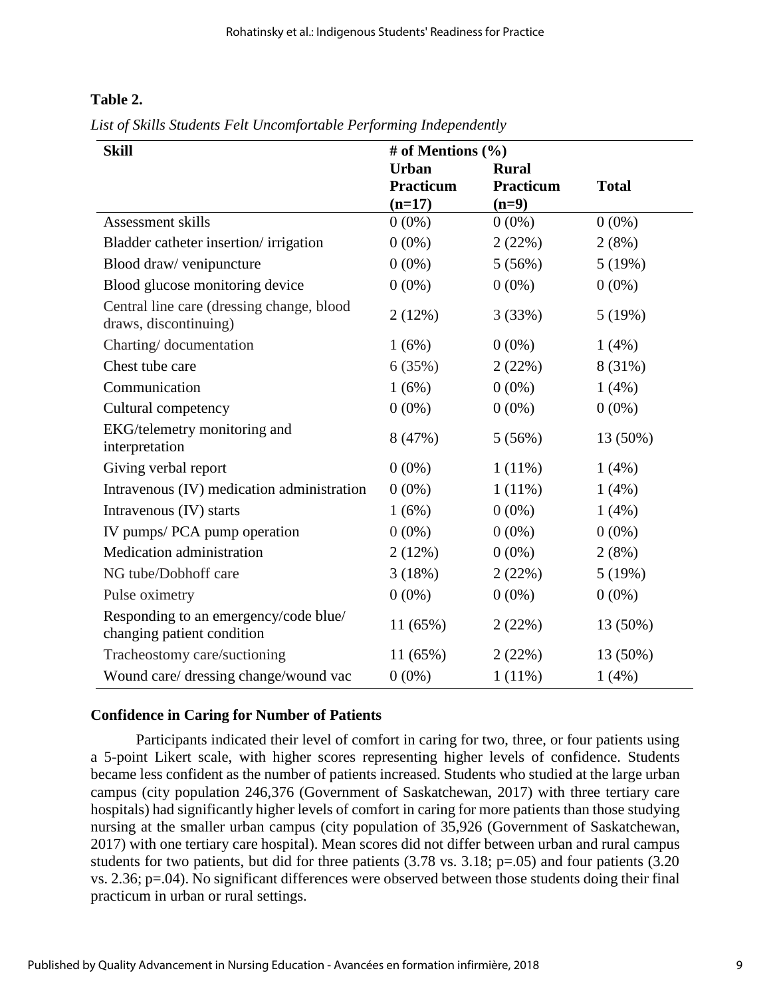# **Table 2.**

*List of Skills Students Felt Uncomfortable Performing Independently*

| <b>Skill</b>                                                        | # of Mentions $(\% )$ |              |              |
|---------------------------------------------------------------------|-----------------------|--------------|--------------|
|                                                                     | <b>Urban</b>          | <b>Rural</b> |              |
|                                                                     | <b>Practicum</b>      | Practicum    | <b>Total</b> |
|                                                                     | $(n=17)$              | $(n=9)$      |              |
| Assessment skills                                                   | $0(0\%)$              | $0(0\%)$     | $0(0\%)$     |
| Bladder catheter insertion/irrigation                               | $0(0\%)$              | 2(22%)       | 2(8%)        |
| Blood draw/ venipuncture                                            | $0(0\%)$              | 5(56%)       | 5(19%)       |
| Blood glucose monitoring device                                     | $0(0\%)$              | $0(0\%)$     | $0(0\%)$     |
| Central line care (dressing change, blood<br>draws, discontinuing)  | 2(12%)                | 3(33%)       | 5(19%)       |
| Charting/documentation                                              | 1(6%)                 | $0(0\%)$     | 1(4%)        |
| Chest tube care                                                     | 6(35%)                | 2(22%)       | 8 (31%)      |
| Communication                                                       | 1(6%)                 | $0(0\%)$     | $1(4\%)$     |
| Cultural competency                                                 | $0(0\%)$              | $0(0\%)$     | $0(0\%)$     |
| EKG/telemetry monitoring and<br>interpretation                      | 8 (47%)               | 5(56%)       | 13 (50%)     |
| Giving verbal report                                                | $0(0\%)$              | $1(11\%)$    | $1(4\%)$     |
| Intravenous (IV) medication administration                          | $0(0\%)$              | $1(11\%)$    | $1(4\%)$     |
| Intravenous (IV) starts                                             | 1(6%)                 | $0(0\%)$     | 1(4%)        |
| IV pumps/ PCA pump operation                                        | $0(0\%)$              | $0(0\%)$     | $0(0\%)$     |
| Medication administration                                           | 2(12%)                | $0(0\%)$     | 2(8%)        |
| NG tube/Dobhoff care                                                | 3(18%)                | 2(22%)       | 5(19%)       |
| Pulse oximetry                                                      | $0(0\%)$              | $0(0\%)$     | $0(0\%)$     |
| Responding to an emergency/code blue/<br>changing patient condition | 11(65%)               | 2(22%)       | 13 (50%)     |
| Tracheostomy care/suctioning                                        | 11(65%)               | 2(22%)       | 13 (50%)     |
| Wound care/ dressing change/wound vac                               | $0(0\%)$              | $1(11\%)$    | 1(4%)        |

# **Confidence in Caring for Number of Patients**

Participants indicated their level of comfort in caring for two, three, or four patients using a 5-point Likert scale, with higher scores representing higher levels of confidence. Students became less confident as the number of patients increased. Students who studied at the large urban campus (city population 246,376 (Government of Saskatchewan, 2017) with three tertiary care hospitals) had significantly higher levels of comfort in caring for more patients than those studying nursing at the smaller urban campus (city population of 35,926 (Government of Saskatchewan, 2017) with one tertiary care hospital). Mean scores did not differ between urban and rural campus students for two patients, but did for three patients (3.78 vs. 3.18; p=.05) and four patients (3.20 vs. 2.36; p=.04). No significant differences were observed between those students doing their final practicum in urban or rural settings.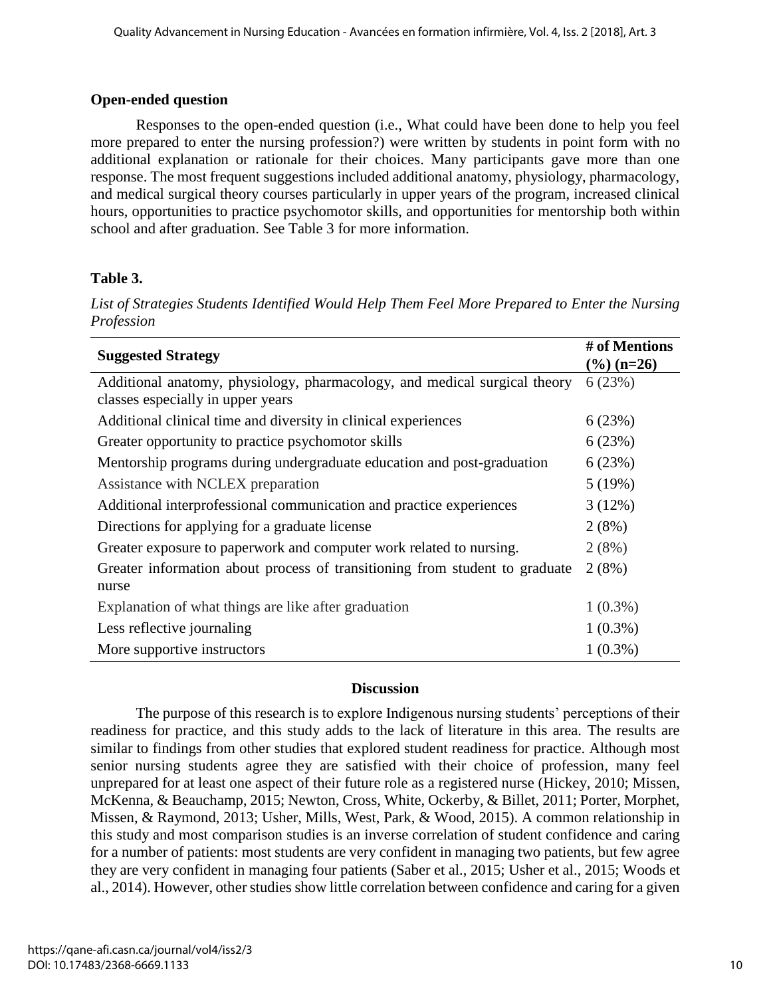# **Open-ended question**

Responses to the open-ended question (i.e., What could have been done to help you feel more prepared to enter the nursing profession?) were written by students in point form with no additional explanation or rationale for their choices. Many participants gave more than one response. The most frequent suggestions included additional anatomy, physiology, pharmacology, and medical surgical theory courses particularly in upper years of the program, increased clinical hours, opportunities to practice psychomotor skills, and opportunities for mentorship both within school and after graduation. See Table 3 for more information.

# **Table 3.**

*List of Strategies Students Identified Would Help Them Feel More Prepared to Enter the Nursing Profession*

| <b>Suggested Strategy</b>                                                                                      | # of Mentions<br>$\frac{9}{6}$ (n=26) |
|----------------------------------------------------------------------------------------------------------------|---------------------------------------|
| Additional anatomy, physiology, pharmacology, and medical surgical theory<br>classes especially in upper years | 6(23%)                                |
| Additional clinical time and diversity in clinical experiences                                                 | 6(23%)                                |
| Greater opportunity to practice psychomotor skills                                                             | 6(23%)                                |
| Mentorship programs during undergraduate education and post-graduation                                         | 6(23%)                                |
| Assistance with NCLEX preparation                                                                              | 5(19%)                                |
| Additional interprofessional communication and practice experiences                                            | 3(12%)                                |
| Directions for applying for a graduate license                                                                 | 2(8%)                                 |
| Greater exposure to paperwork and computer work related to nursing.                                            | 2(8%)                                 |
| Greater information about process of transitioning from student to graduate<br>nurse                           | 2(8%)                                 |
| Explanation of what things are like after graduation                                                           | $1(0.3\%)$                            |
| Less reflective journaling                                                                                     | $1(0.3\%)$                            |
| More supportive instructors                                                                                    | $1(0.3\%)$                            |

# **Discussion**

The purpose of this research is to explore Indigenous nursing students' perceptions of their readiness for practice, and this study adds to the lack of literature in this area. The results are similar to findings from other studies that explored student readiness for practice. Although most senior nursing students agree they are satisfied with their choice of profession, many feel unprepared for at least one aspect of their future role as a registered nurse (Hickey, 2010; Missen, McKenna, & Beauchamp, 2015; Newton, Cross, White, Ockerby, & Billet, 2011; Porter, Morphet, Missen, & Raymond, 2013; Usher, Mills, West, Park, & Wood, 2015). A common relationship in this study and most comparison studies is an inverse correlation of student confidence and caring for a number of patients: most students are very confident in managing two patients, but few agree they are very confident in managing four patients (Saber et al., 2015; Usher et al., 2015; Woods et al., 2014). However, other studies show little correlation between confidence and caring for a given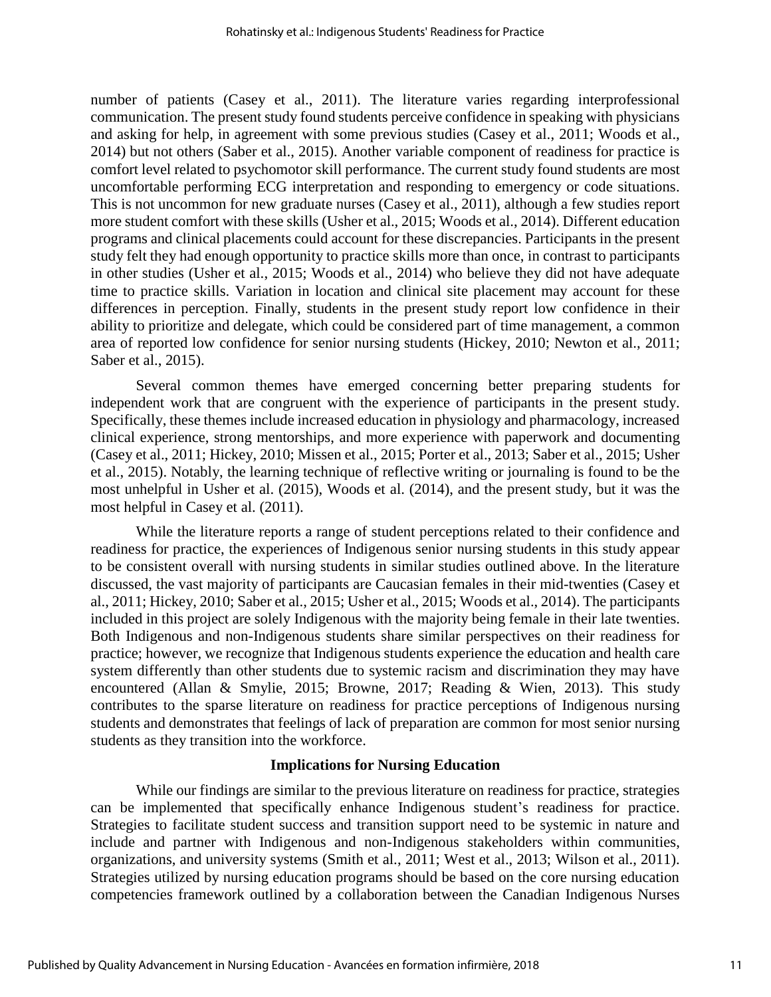number of patients (Casey et al., 2011). The literature varies regarding interprofessional communication. The present study found students perceive confidence in speaking with physicians and asking for help, in agreement with some previous studies (Casey et al., 2011; Woods et al., 2014) but not others (Saber et al., 2015). Another variable component of readiness for practice is comfort level related to psychomotor skill performance. The current study found students are most uncomfortable performing ECG interpretation and responding to emergency or code situations. This is not uncommon for new graduate nurses (Casey et al., 2011), although a few studies report more student comfort with these skills (Usher et al., 2015; Woods et al., 2014). Different education programs and clinical placements could account for these discrepancies. Participants in the present study felt they had enough opportunity to practice skills more than once, in contrast to participants in other studies (Usher et al., 2015; Woods et al., 2014) who believe they did not have adequate time to practice skills. Variation in location and clinical site placement may account for these differences in perception. Finally, students in the present study report low confidence in their ability to prioritize and delegate, which could be considered part of time management, a common area of reported low confidence for senior nursing students (Hickey, 2010; Newton et al., 2011; Saber et al., 2015).

Several common themes have emerged concerning better preparing students for independent work that are congruent with the experience of participants in the present study. Specifically, these themes include increased education in physiology and pharmacology, increased clinical experience, strong mentorships, and more experience with paperwork and documenting (Casey et al., 2011; Hickey, 2010; Missen et al., 2015; Porter et al., 2013; Saber et al., 2015; Usher et al., 2015). Notably, the learning technique of reflective writing or journaling is found to be the most unhelpful in Usher et al. (2015), Woods et al. (2014), and the present study, but it was the most helpful in Casey et al. (2011).

While the literature reports a range of student perceptions related to their confidence and readiness for practice, the experiences of Indigenous senior nursing students in this study appear to be consistent overall with nursing students in similar studies outlined above. In the literature discussed, the vast majority of participants are Caucasian females in their mid-twenties (Casey et al., 2011; Hickey, 2010; Saber et al., 2015; Usher et al., 2015; Woods et al., 2014). The participants included in this project are solely Indigenous with the majority being female in their late twenties. Both Indigenous and non-Indigenous students share similar perspectives on their readiness for practice; however, we recognize that Indigenous students experience the education and health care system differently than other students due to systemic racism and discrimination they may have encountered (Allan & Smylie, 2015; Browne, 2017; Reading & Wien, 2013). This study contributes to the sparse literature on readiness for practice perceptions of Indigenous nursing students and demonstrates that feelings of lack of preparation are common for most senior nursing students as they transition into the workforce.

#### **Implications for Nursing Education**

While our findings are similar to the previous literature on readiness for practice, strategies can be implemented that specifically enhance Indigenous student's readiness for practice. Strategies to facilitate student success and transition support need to be systemic in nature and include and partner with Indigenous and non-Indigenous stakeholders within communities, organizations, and university systems (Smith et al., 2011; West et al., 2013; Wilson et al., 2011). Strategies utilized by nursing education programs should be based on the core nursing education competencies framework outlined by a collaboration between the Canadian Indigenous Nurses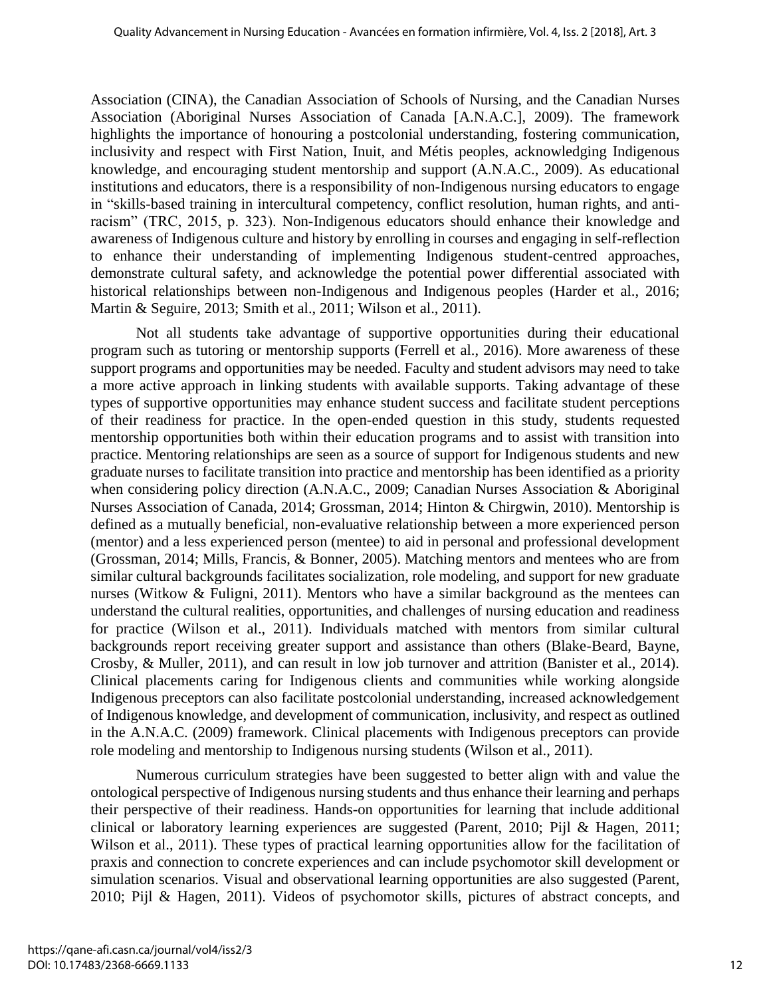Association (CINA), the Canadian Association of Schools of Nursing, and the Canadian Nurses Association (Aboriginal Nurses Association of Canada [A.N.A.C.], 2009). The framework highlights the importance of honouring a postcolonial understanding, fostering communication, inclusivity and respect with First Nation, Inuit, and Métis peoples, acknowledging Indigenous knowledge, and encouraging student mentorship and support (A.N.A.C., 2009). As educational institutions and educators, there is a responsibility of non-Indigenous nursing educators to engage in "skills-based training in intercultural competency, conflict resolution, human rights, and antiracism" (TRC, 2015, p. 323). Non-Indigenous educators should enhance their knowledge and awareness of Indigenous culture and history by enrolling in courses and engaging in self-reflection to enhance their understanding of implementing Indigenous student-centred approaches, demonstrate cultural safety, and acknowledge the potential power differential associated with historical relationships between non-Indigenous and Indigenous peoples (Harder et al., 2016; Martin & Seguire, 2013; Smith et al., 2011; Wilson et al., 2011).

Not all students take advantage of supportive opportunities during their educational program such as tutoring or mentorship supports (Ferrell et al., 2016). More awareness of these support programs and opportunities may be needed. Faculty and student advisors may need to take a more active approach in linking students with available supports. Taking advantage of these types of supportive opportunities may enhance student success and facilitate student perceptions of their readiness for practice. In the open-ended question in this study, students requested mentorship opportunities both within their education programs and to assist with transition into practice. Mentoring relationships are seen as a source of support for Indigenous students and new graduate nurses to facilitate transition into practice and mentorship has been identified as a priority when considering policy direction (A.N.A.C., 2009; Canadian Nurses Association & Aboriginal Nurses Association of Canada, 2014; Grossman, 2014; Hinton & Chirgwin, 2010). Mentorship is defined as a mutually beneficial, non-evaluative relationship between a more experienced person (mentor) and a less experienced person (mentee) to aid in personal and professional development (Grossman, 2014; Mills, Francis, & Bonner, 2005). Matching mentors and mentees who are from similar cultural backgrounds facilitates socialization, role modeling, and support for new graduate nurses (Witkow & Fuligni, 2011). Mentors who have a similar background as the mentees can understand the cultural realities, opportunities, and challenges of nursing education and readiness for practice (Wilson et al., 2011). Individuals matched with mentors from similar cultural backgrounds report receiving greater support and assistance than others (Blake-Beard, Bayne, Crosby, & Muller, 2011), and can result in low job turnover and attrition (Banister et al., 2014). Clinical placements caring for Indigenous clients and communities while working alongside Indigenous preceptors can also facilitate postcolonial understanding, increased acknowledgement of Indigenous knowledge, and development of communication, inclusivity, and respect as outlined in the A.N.A.C. (2009) framework. Clinical placements with Indigenous preceptors can provide role modeling and mentorship to Indigenous nursing students (Wilson et al., 2011).

Numerous curriculum strategies have been suggested to better align with and value the ontological perspective of Indigenous nursing students and thus enhance their learning and perhaps their perspective of their readiness. Hands-on opportunities for learning that include additional clinical or laboratory learning experiences are suggested (Parent, 2010; Pijl & Hagen, 2011; Wilson et al., 2011). These types of practical learning opportunities allow for the facilitation of praxis and connection to concrete experiences and can include psychomotor skill development or simulation scenarios. Visual and observational learning opportunities are also suggested (Parent, 2010; Pijl & Hagen, 2011). Videos of psychomotor skills, pictures of abstract concepts, and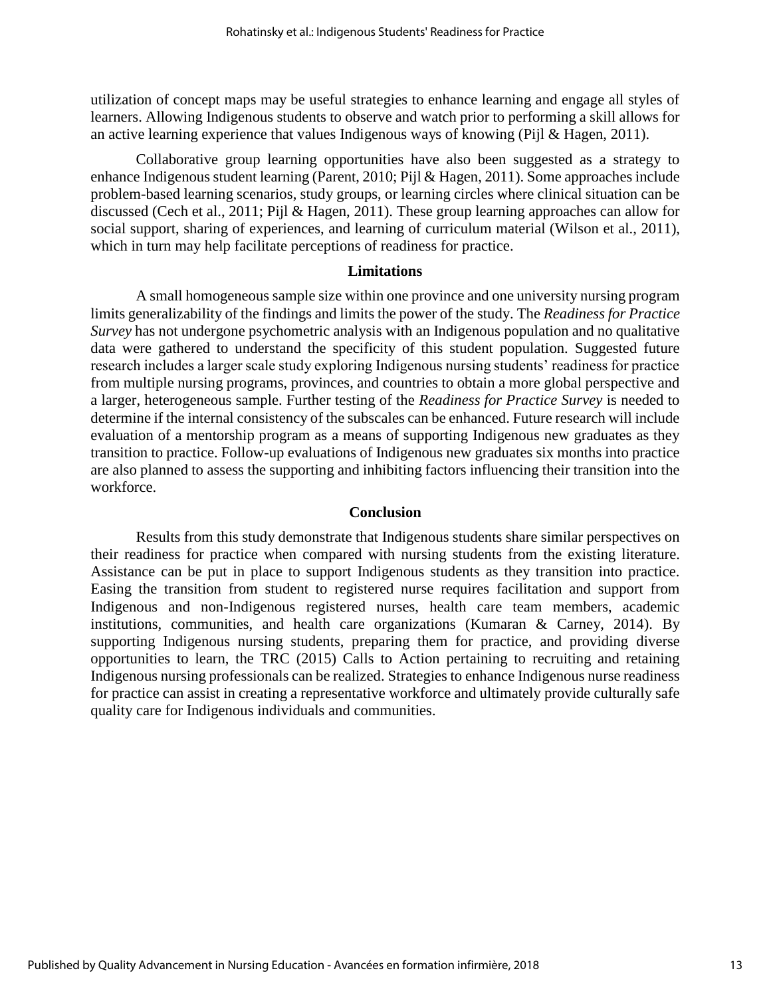utilization of concept maps may be useful strategies to enhance learning and engage all styles of learners. Allowing Indigenous students to observe and watch prior to performing a skill allows for an active learning experience that values Indigenous ways of knowing (Pijl & Hagen, 2011).

Collaborative group learning opportunities have also been suggested as a strategy to enhance Indigenous student learning (Parent, 2010; Pijl & Hagen, 2011). Some approaches include problem-based learning scenarios, study groups, or learning circles where clinical situation can be discussed (Cech et al., 2011; Pijl & Hagen, 2011). These group learning approaches can allow for social support, sharing of experiences, and learning of curriculum material (Wilson et al., 2011), which in turn may help facilitate perceptions of readiness for practice.

#### **Limitations**

A small homogeneous sample size within one province and one university nursing program limits generalizability of the findings and limits the power of the study. The *Readiness for Practice Survey* has not undergone psychometric analysis with an Indigenous population and no qualitative data were gathered to understand the specificity of this student population. Suggested future research includes a larger scale study exploring Indigenous nursing students' readiness for practice from multiple nursing programs, provinces, and countries to obtain a more global perspective and a larger, heterogeneous sample. Further testing of the *Readiness for Practice Survey* is needed to determine if the internal consistency of the subscales can be enhanced. Future research will include evaluation of a mentorship program as a means of supporting Indigenous new graduates as they transition to practice. Follow-up evaluations of Indigenous new graduates six months into practice are also planned to assess the supporting and inhibiting factors influencing their transition into the workforce.

#### **Conclusion**

Results from this study demonstrate that Indigenous students share similar perspectives on their readiness for practice when compared with nursing students from the existing literature. Assistance can be put in place to support Indigenous students as they transition into practice. Easing the transition from student to registered nurse requires facilitation and support from Indigenous and non-Indigenous registered nurses, health care team members, academic institutions, communities, and health care organizations (Kumaran & Carney, 2014). By supporting Indigenous nursing students, preparing them for practice, and providing diverse opportunities to learn, the TRC (2015) Calls to Action pertaining to recruiting and retaining Indigenous nursing professionals can be realized. Strategies to enhance Indigenous nurse readiness for practice can assist in creating a representative workforce and ultimately provide culturally safe quality care for Indigenous individuals and communities.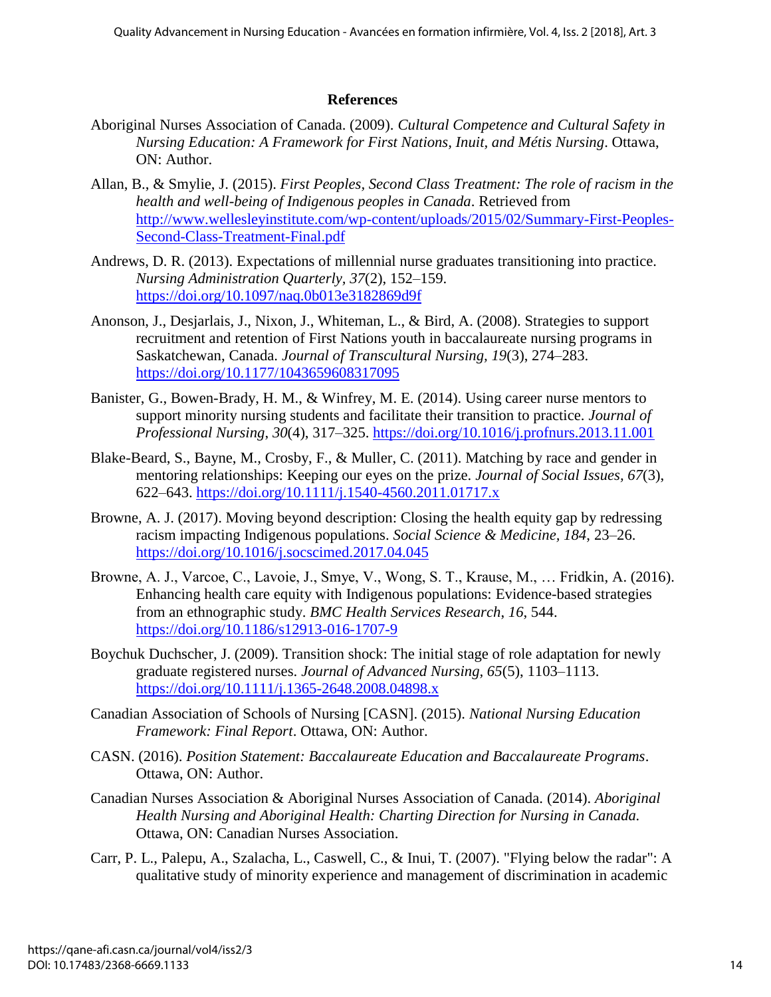#### **References**

- Aboriginal Nurses Association of Canada. (2009). *Cultural Competence and Cultural Safety in Nursing Education: A Framework for First Nations, Inuit, and Métis Nursing*. Ottawa, ON: Author.
- Allan, B., & Smylie, J. (2015). *First Peoples, Second Class Treatment: The role of racism in the health and well-being of Indigenous peoples in Canada*. Retrieved from [http://www.wellesleyinstitute.com/wp-content/uploads/2015/02/Summary-First-Peoples-](http://www.wellesleyinstitute.com/wp-content/uploads/2015/02/Summary-First-Peoples-Second-Class-Treatment-Final.pdf)[Second-Class-Treatment-Final.pdf](http://www.wellesleyinstitute.com/wp-content/uploads/2015/02/Summary-First-Peoples-Second-Class-Treatment-Final.pdf)
- Andrews, D. R. (2013). Expectations of millennial nurse graduates transitioning into practice. *Nursing Administration Quarterly, 37*(2), 152–159. <https://doi.org/10.1097/naq.0b013e3182869d9f>
- Anonson, J., Desjarlais, J., Nixon, J., Whiteman, L., & Bird, A. (2008). Strategies to support recruitment and retention of First Nations youth in baccalaureate nursing programs in Saskatchewan, Canada. *Journal of Transcultural Nursing, 19*(3), 274–283. <https://doi.org/10.1177/1043659608317095>
- Banister, G., Bowen-Brady, H. M., & Winfrey, M. E. (2014). Using career nurse mentors to support minority nursing students and facilitate their transition to practice. *Journal of Professional Nursing*, *30*(4), 317–325. <https://doi.org/10.1016/j.profnurs.2013.11.001>
- Blake-Beard, S., Bayne, M., Crosby, F., & Muller, C. (2011). Matching by race and gender in mentoring relationships: Keeping our eyes on the prize. *Journal of Social Issues, 67*(3), 622–643. <https://doi.org/10.1111/j.1540-4560.2011.01717.x>
- Browne, A. J. (2017). Moving beyond description: Closing the health equity gap by redressing racism impacting Indigenous populations. *Social Science & Medicine, 184*, 23–26. <https://doi.org/10.1016/j.socscimed.2017.04.045>
- Browne, A. J., Varcoe, C., Lavoie, J., Smye, V., Wong, S. T., Krause, M., … Fridkin, A. (2016). Enhancing health care equity with Indigenous populations: Evidence-based strategies from an ethnographic study. *BMC Health Services Research*, *16*, 544. <https://doi.org/10.1186/s12913-016-1707-9>
- Boychuk Duchscher, J. (2009). Transition shock: The initial stage of role adaptation for newly graduate registered nurses. *Journal of Advanced Nursing, 65*(5), 1103–1113. <https://doi.org/10.1111/j.1365-2648.2008.04898.x>
- Canadian Association of Schools of Nursing [CASN]. (2015). *National Nursing Education Framework: Final Report*. Ottawa, ON: Author.
- CASN. (2016). *Position Statement: Baccalaureate Education and Baccalaureate Programs*. Ottawa, ON: Author.
- Canadian Nurses Association & Aboriginal Nurses Association of Canada. (2014). *Aboriginal Health Nursing and Aboriginal Health: Charting Direction for Nursing in Canada.* Ottawa, ON: Canadian Nurses Association.
- Carr, P. L., Palepu, A., Szalacha, L., Caswell, C., & Inui, T. (2007). "Flying below the radar": A qualitative study of minority experience and management of discrimination in academic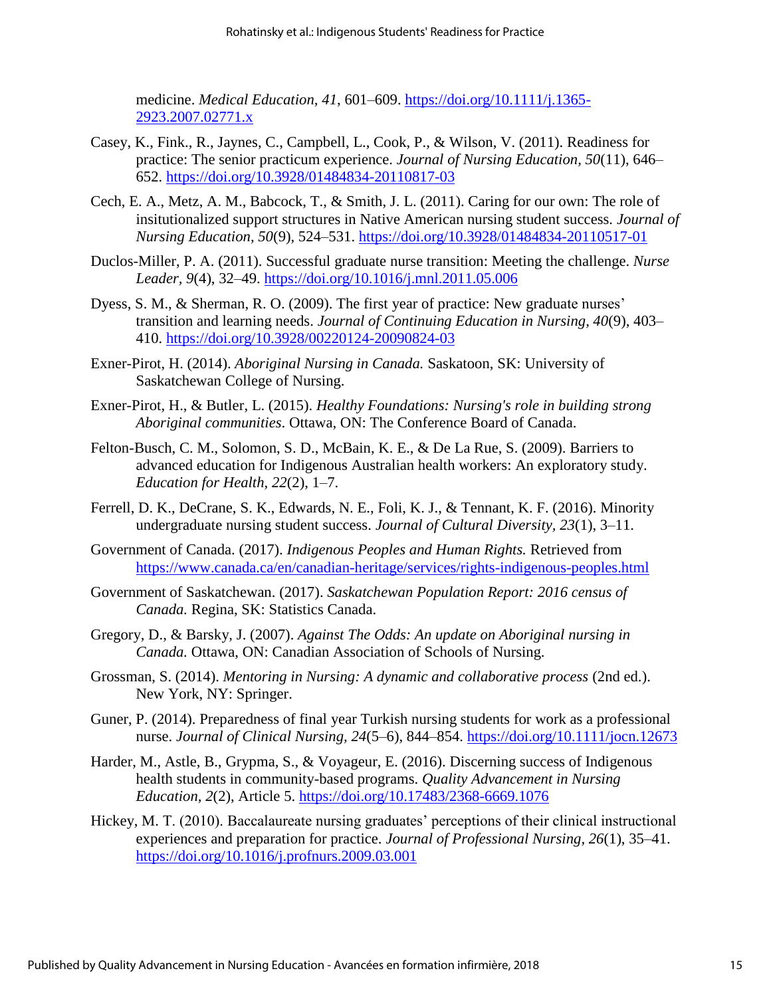medicine. *Medical Education, 41*, 601–609. [https://doi.org/10.1111/j.1365-](https://doi.org/10.1111/j.1365-2923.2007.02771.x) [2923.2007.02771.x](https://doi.org/10.1111/j.1365-2923.2007.02771.x)

- Casey, K., Fink., R., Jaynes, C., Campbell, L., Cook, P., & Wilson, V. (2011). Readiness for practice: The senior practicum experience. *Journal of Nursing Education, 50*(11), 646– 652.<https://doi.org/10.3928/01484834-20110817-03>
- Cech, E. A., Metz, A. M., Babcock, T., & Smith, J. L. (2011). Caring for our own: The role of insitutionalized support structures in Native American nursing student success. *Journal of Nursing Education, 50*(9), 524–531.<https://doi.org/10.3928/01484834-20110517-01>
- Duclos-Miller, P. A. (2011). Successful graduate nurse transition: Meeting the challenge. *Nurse Leader, 9*(4), 32–49. <https://doi.org/10.1016/j.mnl.2011.05.006>
- Dyess, S. M., & Sherman, R. O. (2009). The first year of practice: New graduate nurses' transition and learning needs. *Journal of Continuing Education in Nursing, 40*(9), 403– 410. <https://doi.org/10.3928/00220124-20090824-03>
- Exner-Pirot, H. (2014). *Aboriginal Nursing in Canada.* Saskatoon, SK: University of Saskatchewan College of Nursing.
- Exner-Pirot, H., & Butler, L. (2015). *Healthy Foundations: Nursing's role in building strong Aboriginal communities*. Ottawa, ON: The Conference Board of Canada.
- Felton-Busch, C. M., Solomon, S. D., McBain, K. E., & De La Rue, S. (2009). Barriers to advanced education for Indigenous Australian health workers: An exploratory study. *Education for Health, 22*(2), 1–7.
- Ferrell, D. K., DeCrane, S. K., Edwards, N. E., Foli, K. J., & Tennant, K. F. (2016). Minority undergraduate nursing student success. *Journal of Cultural Diversity, 23*(1), 3–11.
- Government of Canada. (2017). *Indigenous Peoples and Human Rights.* Retrieved from <https://www.canada.ca/en/canadian-heritage/services/rights-indigenous-peoples.html>
- Government of Saskatchewan. (2017). *Saskatchewan Population Report: 2016 census of Canada.* Regina, SK: Statistics Canada.
- Gregory, D., & Barsky, J. (2007). *Against The Odds: An update on Aboriginal nursing in Canada.* Ottawa, ON: Canadian Association of Schools of Nursing.
- Grossman, S. (2014). *Mentoring in Nursing: A dynamic and collaborative process* (2nd ed.). New York, NY: Springer.
- Guner, P. (2014). Preparedness of final year Turkish nursing students for work as a professional nurse. *Journal of Clinical Nursing, 24*(5–6), 844–854.<https://doi.org/10.1111/jocn.12673>
- Harder, M., Astle, B., Grypma, S., & Voyageur, E. (2016). Discerning success of Indigenous health students in community-based programs. *Quality Advancement in Nursing Education, 2*(2), Article 5.<https://doi.org/10.17483/2368-6669.1076>
- Hickey, M. T. (2010). Baccalaureate nursing graduates' perceptions of their clinical instructional experiences and preparation for practice. *Journal of Professional Nursing, 26*(1), 35–41. <https://doi.org/10.1016/j.profnurs.2009.03.001>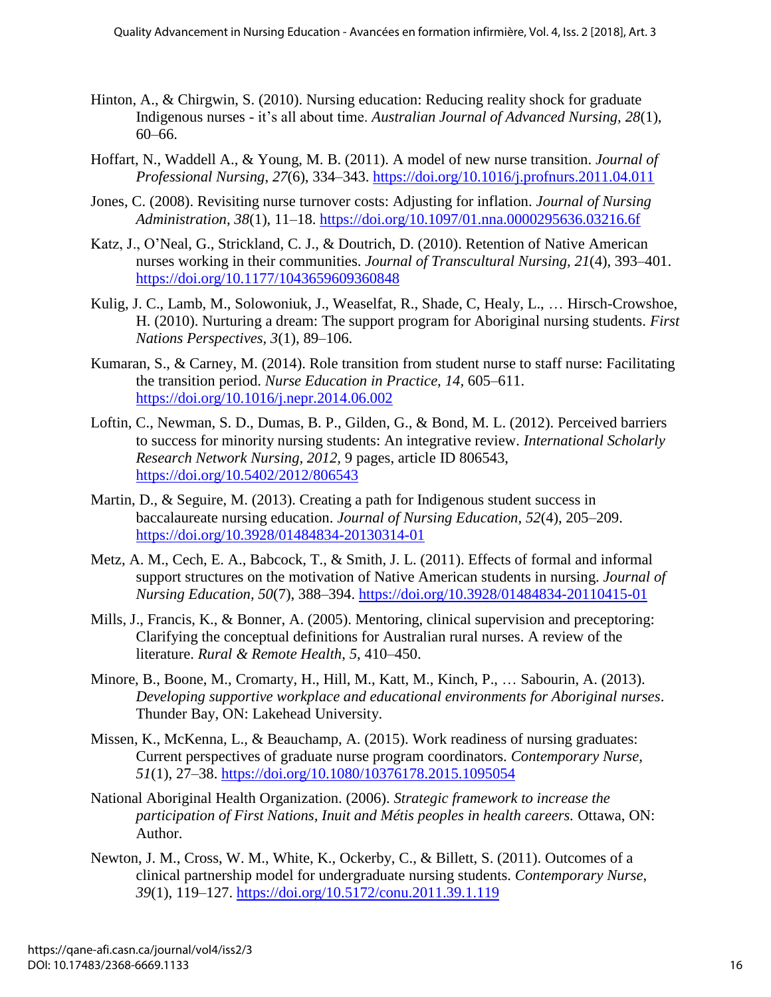- Hinton, A., & Chirgwin, S. (2010). Nursing education: Reducing reality shock for graduate Indigenous nurses - it's all about time. *Australian Journal of Advanced Nursing, 28*(1), 60–66.
- Hoffart, N., Waddell A., & Young, M. B. (2011). A model of new nurse transition. *Journal of Professional Nursing*, *27*(6), 334–343. <https://doi.org/10.1016/j.profnurs.2011.04.011>
- Jones, C. (2008). Revisiting nurse turnover costs: Adjusting for inflation. *Journal of Nursing Administration, 38*(1), 11–18. <https://doi.org/10.1097/01.nna.0000295636.03216.6f>
- Katz, J., O'Neal, G., Strickland, C. J., & Doutrich, D. (2010). Retention of Native American nurses working in their communities. *Journal of Transcultural Nursing, 21*(4), 393–401. <https://doi.org/10.1177/1043659609360848>
- Kulig, J. C., Lamb, M., Solowoniuk, J., Weaselfat, R., Shade, C, Healy, L., … Hirsch-Crowshoe, H. (2010). Nurturing a dream: The support program for Aboriginal nursing students. *First Nations Perspectives, 3*(1), 89–106.
- Kumaran, S., & Carney, M. (2014). Role transition from student nurse to staff nurse: Facilitating the transition period. *Nurse Education in Practice, 14,* 605–611. <https://doi.org/10.1016/j.nepr.2014.06.002>
- Loftin, C., Newman, S. D., Dumas, B. P., Gilden, G., & Bond, M. L. (2012). Perceived barriers to success for minority nursing students: An integrative review. *International Scholarly Research Network Nursing, 2012,* 9 pages, article ID 806543, <https://doi.org/10.5402/2012/806543>
- Martin, D., & Seguire, M. (2013). Creating a path for Indigenous student success in baccalaureate nursing education. *Journal of Nursing Education, 52*(4), 205–209. <https://doi.org/10.3928/01484834-20130314-01>
- Metz, A. M., Cech, E. A., Babcock, T., & Smith, J. L. (2011). Effects of formal and informal support structures on the motivation of Native American students in nursing. *Journal of Nursing Education, 50*(7), 388–394.<https://doi.org/10.3928/01484834-20110415-01>
- Mills, J., Francis, K., & Bonner, A. (2005). Mentoring, clinical supervision and preceptoring: Clarifying the conceptual definitions for Australian rural nurses. A review of the literature. *Rural & Remote Health*, *5*, 410–450.
- Minore, B., Boone, M., Cromarty, H., Hill, M., Katt, M., Kinch, P., … Sabourin, A. (2013). *Developing supportive workplace and educational environments for Aboriginal nurses*. Thunder Bay, ON: Lakehead University.
- Missen, K., McKenna, L., & Beauchamp, A. (2015). Work readiness of nursing graduates: Current perspectives of graduate nurse program coordinators. *Contemporary Nurse, 51*(1), 27–38.<https://doi.org/10.1080/10376178.2015.1095054>
- National Aboriginal Health Organization. (2006). *Strategic framework to increase the participation of First Nations, Inuit and Métis peoples in health careers. Ottawa, ON:* Author.
- Newton, J. M., Cross, W. M., White, K., Ockerby, C., & Billett, S. (2011). Outcomes of a clinical partnership model for undergraduate nursing students. *Contemporary Nurse*, *39*(1), 119–127.<https://doi.org/10.5172/conu.2011.39.1.119>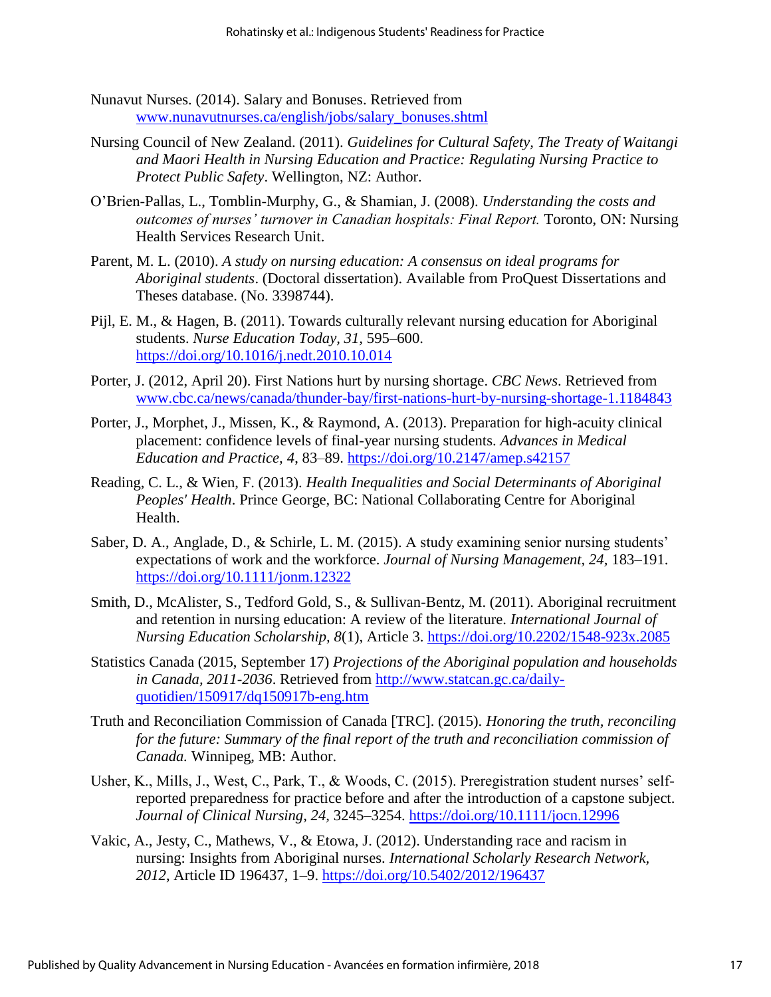- Nunavut Nurses. (2014). Salary and Bonuses. Retrieved from [www.nunavutnurses.ca/english/jobs/salary\\_bonuses.shtml](http://www.nunavutnurses.ca/english/jobs/salary_bonuses.shtml)
- Nursing Council of New Zealand. (2011). *Guidelines for Cultural Safety, The Treaty of Waitangi and Maori Health in Nursing Education and Practice: Regulating Nursing Practice to Protect Public Safety*. Wellington, NZ: Author.
- O'Brien-Pallas, L., Tomblin-Murphy, G., & Shamian, J. (2008). *Understanding the costs and outcomes of nurses' turnover in Canadian hospitals: Final Report.* Toronto, ON: Nursing Health Services Research Unit.
- Parent, M. L. (2010). *A study on nursing education: A consensus on ideal programs for Aboriginal students*. (Doctoral dissertation). Available from ProQuest Dissertations and Theses database. (No. 3398744).
- Pijl, E. M., & Hagen, B. (2011). Towards culturally relevant nursing education for Aboriginal students. *Nurse Education Today, 31,* 595–600. <https://doi.org/10.1016/j.nedt.2010.10.014>
- Porter, J. (2012, April 20). First Nations hurt by nursing shortage. *CBC News*. Retrieved from [www.cbc.ca/news/canada/thunder-bay/first-nations-hurt-by-nursing-shortage-1.1184843](http://www.cbc.ca/news/canada/thunder-bay/first-nations-hurt-by-nursing-shortage-1.1184843)
- Porter, J., Morphet, J., Missen, K., & Raymond, A. (2013). Preparation for high-acuity clinical placement: confidence levels of final-year nursing students. *Advances in Medical Education and Practice, 4*, 83–89.<https://doi.org/10.2147/amep.s42157>
- Reading, C. L., & Wien, F. (2013). *Health Inequalities and Social Determinants of Aboriginal Peoples' Health*. Prince George, BC: National Collaborating Centre for Aboriginal Health.
- Saber, D. A., Anglade, D., & Schirle, L. M. (2015). A study examining senior nursing students' expectations of work and the workforce. *Journal of Nursing Management, 24,* 183–191. <https://doi.org/10.1111/jonm.12322>
- Smith, D., McAlister, S., Tedford Gold, S., & Sullivan-Bentz, M. (2011). Aboriginal recruitment and retention in nursing education: A review of the literature. *International Journal of Nursing Education Scholarship, 8*(1), Article 3.<https://doi.org/10.2202/1548-923x.2085>
- Statistics Canada (2015, September 17) *Projections of the Aboriginal population and households in Canada, 2011-2036*. Retrieved from [http://www.statcan.gc.ca/daily](http://www.statcan.gc.ca/daily-quotidien/150917/dq150917b-eng.htm)[quotidien/150917/dq150917b-eng.htm](http://www.statcan.gc.ca/daily-quotidien/150917/dq150917b-eng.htm)
- Truth and Reconciliation Commission of Canada [TRC]. (2015). *Honoring the truth, reconciling for the future: Summary of the final report of the truth and reconciliation commission of Canada.* Winnipeg, MB: Author.
- Usher, K., Mills, J., West, C., Park, T., & Woods, C. (2015). Preregistration student nurses' selfreported preparedness for practice before and after the introduction of a capstone subject. *Journal of Clinical Nursing, 24,* 3245–3254.<https://doi.org/10.1111/jocn.12996>
- Vakic, A., Jesty, C., Mathews, V., & Etowa, J. (2012). Understanding race and racism in nursing: Insights from Aboriginal nurses. *International Scholarly Research Network, 2012*, Article ID 196437, 1–9.<https://doi.org/10.5402/2012/196437>